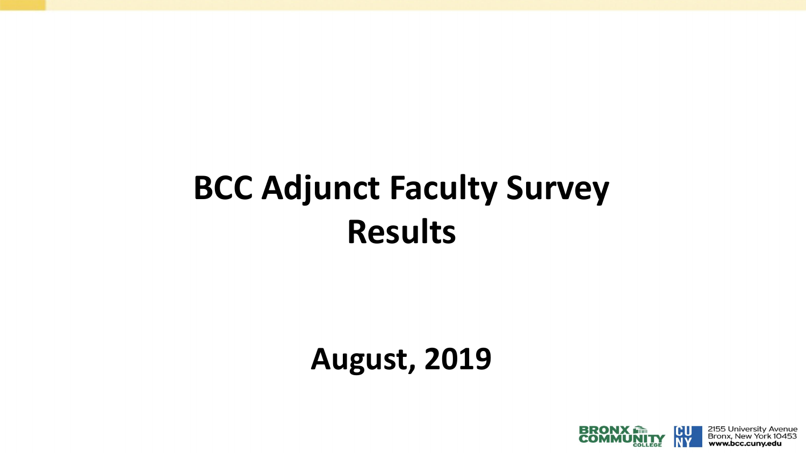# **BCC Adjunct Faculty Survey Results**

## **August, 2019**

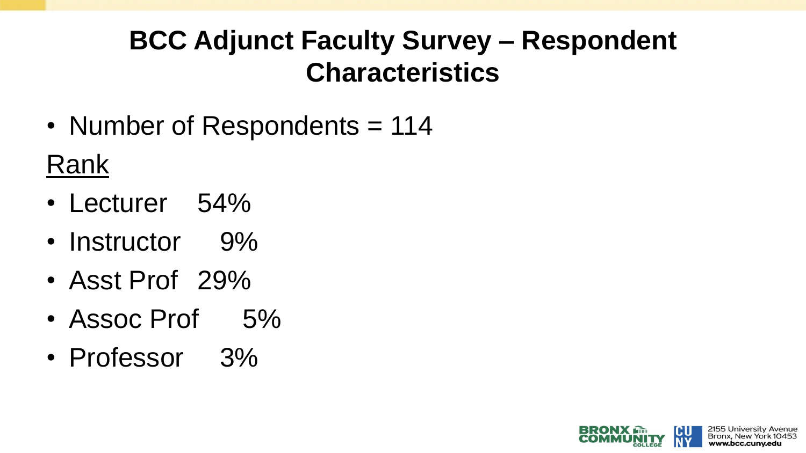## **BCC Adjunct Faculty Survey – Respondent Characteristics**

• Number of Respondents = 114

Rank

- Lecturer 54%
- Instructor 9%
- Asst Prof 29%
- Assoc Prof 5%
- Professor 3%

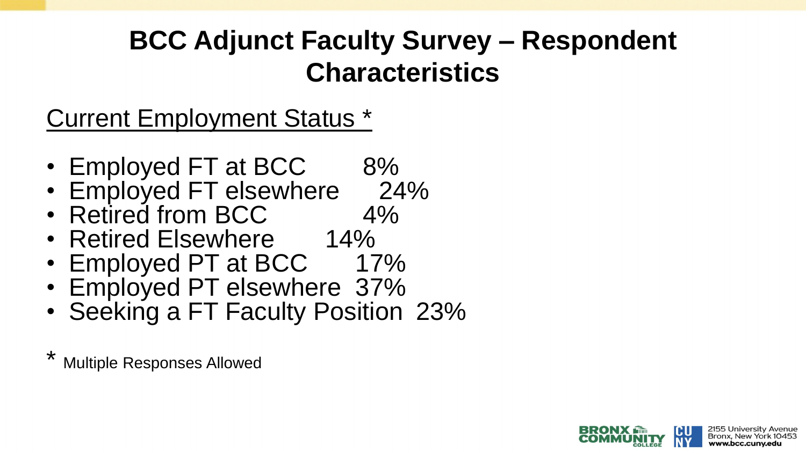## **BCC Adjunct Faculty Survey – Respondent Characteristics**

## Current Employment Status \*

- Employed FT at BCC 8%
- Employed FT elsewhere 24%<br>• Retired from BCC 4%
- Retired from BCC
- Retired Elsewhere 14%
- Employed PT at BCC 17%
- Employed PT elsewhere 37%
- Seeking a FT Faculty Position 23%
- **Multiple Responses Allowed**

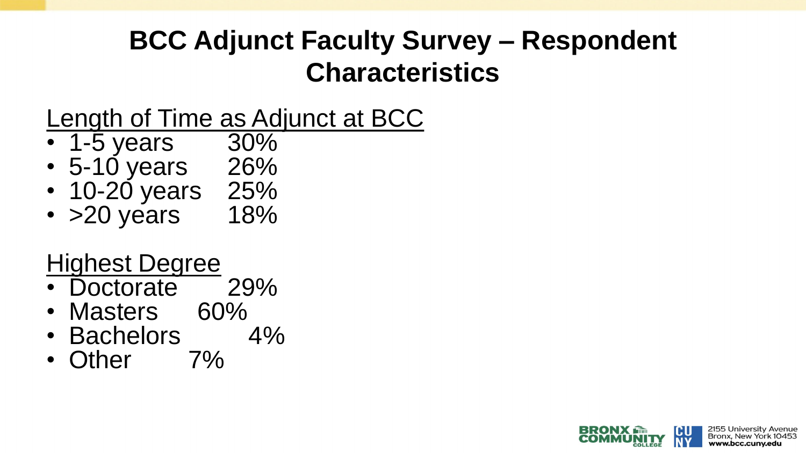## **BCC Adjunct Faculty Survey – Respondent Characteristics**

Length of Time as Adjunct at BCC

- 1-5 years 30%
- 5-10 years 26%
- 10-20 years 25%<br>• >20 years 18%
- $\cdot$  >20 years

## Highest Degree

- Doctorate 29%
- Masters 60%
- Bachelors 4%
- Other 7%

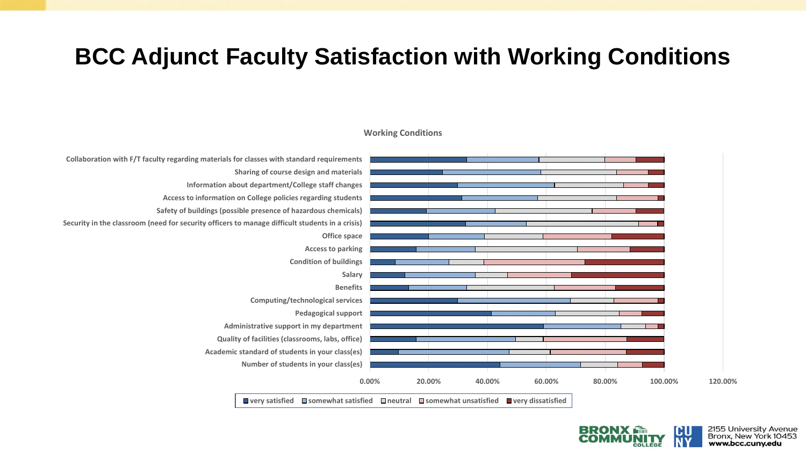#### **BCC Adjunct Faculty Satisfaction with Working Conditions**



#### **Working Conditions**

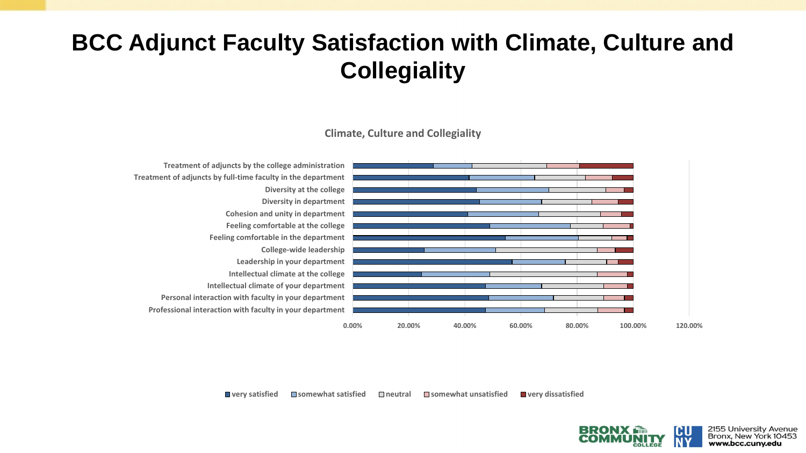### **BCC Adjunct Faculty Satisfaction with Climate, Culture and Collegiality**

**Climate, Culture and Collegiality**



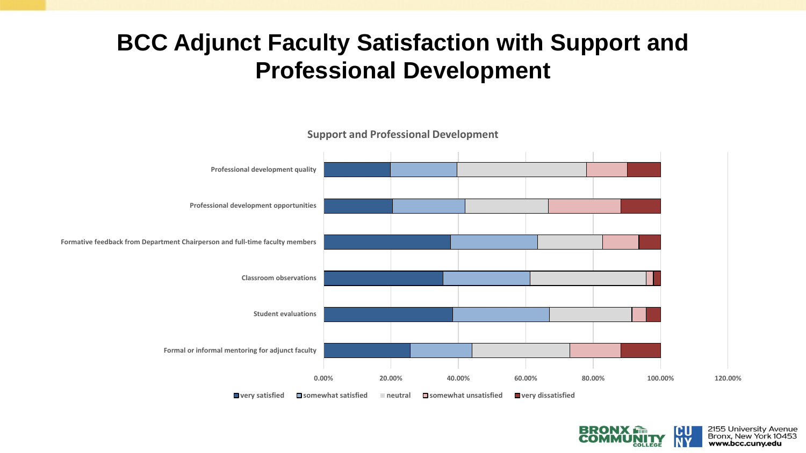#### **BCC Adjunct Faculty Satisfaction with Support and Professional Development**



**Support and Professional Development**

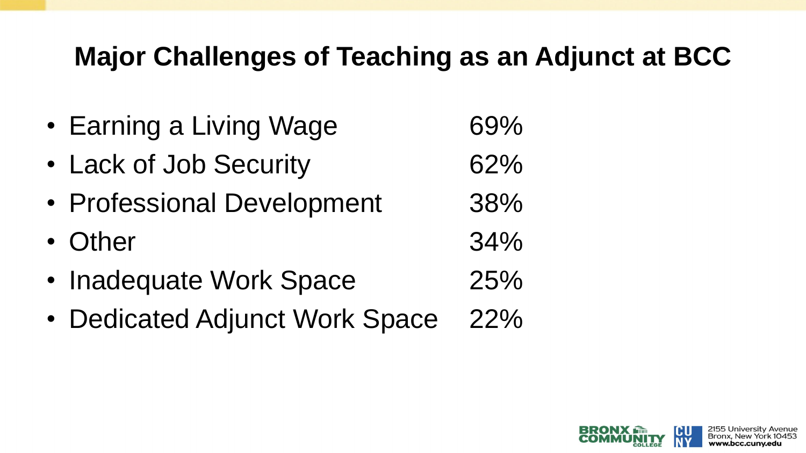## **Major Challenges of Teaching as an Adjunct at BCC**

• Earning a Living Wage 69% • Lack of Job Security 62% • Professional Development 38% • Other 34% • Inadequate Work Space 25% • Dedicated Adjunct Work Space 22%